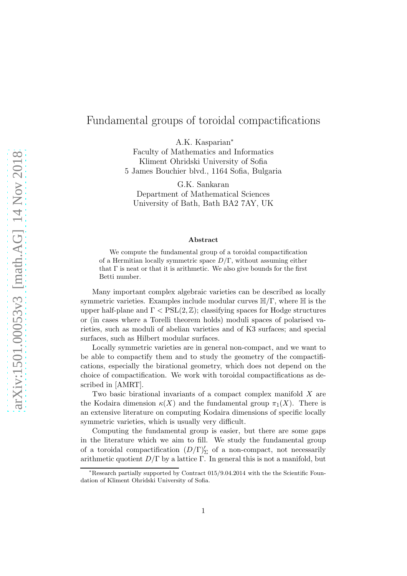# Fundamental groups of toroidal compactifications

A.K. Kasparian<sup>∗</sup>

Faculty of Mathematics and Informatics Kliment Ohridski University of Sofia 5 James Bouchier blvd., 1164 Sofia, Bulgaria

G.K. Sankaran Department of Mathematical Sciences University of Bath, Bath BA2 7AY, UK

#### Abstract

We compute the fundamental group of a toroidal compactification of a Hermitian locally symmetric space  $D/\Gamma$ , without assuming either that  $\Gamma$  is neat or that it is arithmetic. We also give bounds for the first Betti number.

Many important complex algebraic varieties can be described as locally symmetric varieties. Examples include modular curves  $\mathbb{H}/\Gamma$ , where  $\mathbb{H}$  is the upper half-plane and  $\Gamma < \text{PSL}(2,\mathbb{Z})$ ; classifying spaces for Hodge structures or (in cases where a Torelli theorem holds) moduli spaces of polarised varieties, such as moduli of abelian varieties and of K3 surfaces; and special surfaces, such as Hilbert modular surfaces.

Locally symmetric varieties are in general non-compact, and we want to be able to compactify them and to study the geometry of the compactifications, especially the birational geometry, which does not depend on the choice of compactification. We work with toroidal compactifications as described in [AMRT].

Two basic birational invariants of a compact complex manifold  $X$  are the Kodaira dimension  $\kappa(X)$  and the fundamental group  $\pi_1(X)$ . There is an extensive literature on computing Kodaira dimensions of specific locally symmetric varieties, which is usually very difficult.

Computing the fundamental group is easier, but there are some gaps in the literature which we aim to fill. We study the fundamental group of a toroidal compactification  $(D/\Gamma)'_{\Sigma}$  of a non-compact, not necessarily arithmetic quotient  $D/\Gamma$  by a lattice  $\Gamma$ . In general this is not a manifold, but

<sup>∗</sup>Research partially supported by Contract 015/9.04.2014 with the the Scientific Foundation of Kliment Ohridski University of Sofia.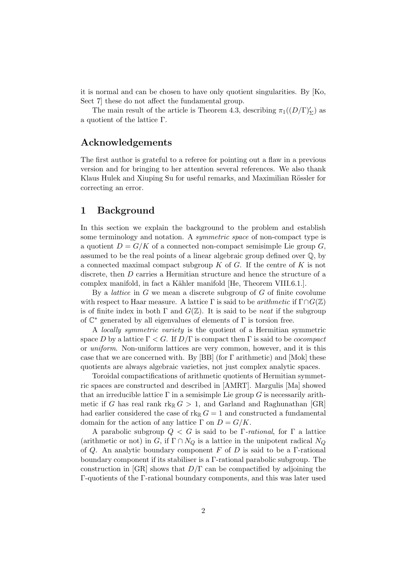it is normal and can be chosen to have only quotient singularities. By [Ko, Sect 7] these do not affect the fundamental group.

The main result of the article is Theorem 4.3, describing  $\pi_1((D/\Gamma)_{\Sigma})$  as a quotient of the lattice Γ.

# Acknowledgements

The first author is grateful to a referee for pointing out a flaw in a previous version and for bringing to her attention several references. We also thank Klaus Hulek and Xiuping Su for useful remarks, and Maximilian Rössler for correcting an error.

# 1 Background

In this section we explain the background to the problem and establish some terminology and notation. A *symmetric space* of non-compact type is a quotient  $D = G/K$  of a connected non-compact semisimple Lie group G, assumed to be the real points of a linear algebraic group defined over Q, by a connected maximal compact subgroup  $K$  of  $G$ . If the centre of  $K$  is not discrete, then D carries a Hermitian structure and hence the structure of a complex manifold, in fact a Kähler manifold [He, Theorem VIII.6.1.].

By a *lattice* in  $G$  we mean a discrete subgroup of  $G$  of finite covolume with respect to Haar measure. A lattice  $\Gamma$  is said to be *arithmetic* if  $\Gamma \cap G(\mathbb{Z})$ is of finite index in both  $\Gamma$  and  $G(\mathbb{Z})$ . It is said to be *neat* if the subgroup of  $\mathbb{C}^*$  generated by all eigenvalues of elements of  $\Gamma$  is torsion free.

A locally symmetric variety is the quotient of a Hermitian symmetric space D by a lattice  $\Gamma < G$ . If  $D/\Gamma$  is compact then  $\Gamma$  is said to be *cocompact* or uniform. Non-uniform lattices are very common, however, and it is this case that we are concerned with. By [BB] (for Γ arithmetic) and [Mok] these quotients are always algebraic varieties, not just complex analytic spaces.

Toroidal compactifications of arithmetic quotients of Hermitian symmetric spaces are constructed and described in [AMRT]. Margulis [Ma] showed that an irreducible lattice  $\Gamma$  in a semisimple Lie group G is necessarily arithmetic if G has real rank  $rk_{\mathbb{R}} G > 1$ , and Garland and Raghunathan [GR] had earlier considered the case of  $rk_{\mathbb{R}} G = 1$  and constructed a fundamental domain for the action of any lattice  $\Gamma$  on  $D = G/K$ .

A parabolic subgroup  $Q \leq G$  is said to be Γ-rational, for Γ a lattice (arithmetic or not) in  $G$ , if  $\Gamma \cap N_Q$  is a lattice in the unipotent radical  $N_Q$ of Q. An analytic boundary component F of D is said to be a  $\Gamma$ -rational boundary component if its stabiliser is a Γ-rational parabolic subgroup. The construction in [GR] shows that  $D/\Gamma$  can be compactified by adjoining the Γ-quotients of the Γ-rational boundary components, and this was later used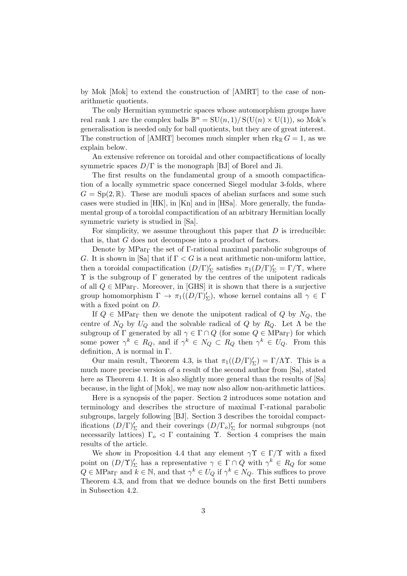by Mok [Mok] to extend the construction of [AMRT] to the case of nonarithmetic quotients.

The only Hermitian symmetric spaces whose automorphism groups have real rank 1 are the complex balls  $\mathbb{B}^n = SU(n,1)/S(U(n) \times U(1))$ , so Mok's generalisation is needed only for ball quotients, but they are of great interest. The construction of [AMRT] becomes much simpler when  $\text{rk}_{\mathbb{R}} G = 1$ , as we explain below.

An extensive reference on toroidal and other compactifications of locally symmetric spaces  $D/\Gamma$  is the monograph [BJ] of Borel and Ji.

The first results on the fundamental group of a smooth compactification of a locally symmetric space concerned Siegel modular 3-folds, where  $G = Sp(2, \mathbb{R})$ . These are moduli spaces of abelian surfaces and some such cases were studied in [HK], in [Kn] and in [HSa]. More generally, the fundamental group of a toroidal compactification of an arbitrary Hermitian locally symmetric variety is studied in [Sa].

For simplicity, we assume throughout this paper that  $D$  is irreducible: that is, that G does not decompose into a product of factors.

Denote by  $MPar<sub>Γ</sub>$  the set of Γ-rational maximal parabolic subgroups of G. It is shown in [Sa] that if  $\Gamma < G$  is a neat arithmetic non-uniform lattice, then a toroidal compactification  $(D/\Gamma)'_{\Sigma}$  satisfies  $\pi_1(D/\Gamma)'_{\Sigma} = \Gamma/\Upsilon$ , where  $\Upsilon$  is the subgroup of  $\Gamma$  generated by the centres of the unipotent radicals of all  $Q \in \text{MPar}_{\Gamma}$ . Moreover, in [GHS] it is shown that there is a surjective group homomorphism  $\Gamma \to \pi_1((D/\Gamma)_{\Sigma}')$ , whose kernel contains all  $\gamma \in \Gamma$ with a fixed point on  $D$ .

If  $Q \in \mathbf{MPar}_{\Gamma}$  then we denote the unipotent radical of  $Q$  by  $N_Q$ , the centre of  $N_Q$  by  $U_Q$  and the solvable radical of Q by  $R_Q$ . Let  $\Lambda$  be the subgroup of  $\Gamma$  generated by all  $\gamma \in \Gamma \cap Q$  (for some  $Q \in \text{MPar}_{\Gamma}$ ) for which some power  $\gamma^k \in R_Q$ , and if  $\gamma^k \in N_Q \subset R_Q$  then  $\gamma^k \in U_Q$ . From this definition,  $\Lambda$  is normal in  $\Gamma$ .

Our main result, Theorem 4.3, is that  $\pi_1((D/\Gamma)'_{\Sigma}) = \Gamma/\Lambda \Upsilon$ . This is a much more precise version of a result of the second author from [Sa], stated here as Theorem 4.1. It is also slightly more general than the results of  $[Sa]$ because, in the light of [Mok], we may now also allow non-arithmetic lattices.

Here is a synopsis of the paper. Section 2 introduces some notation and terminology and describes the structure of maximal Γ-rational parabolic subgroups, largely following [BJ]. Section 3 describes the toroidal compactifications  $(D/\Gamma)'_{\Sigma}$  and their coverings  $(D/\Gamma_o)'_{\Sigma}$  for normal subgroups (not necessarily lattices)  $\Gamma_o \triangleleft \Gamma$  containing  $\Upsilon$ . Section 4 comprises the main results of the article.

We show in Proposition 4.4 that any element  $\gamma \Upsilon \in \Gamma/\Upsilon$  with a fixed point on  $(D/\Upsilon)'_{\Sigma}$  has a representative  $\gamma \in \Gamma \cap Q$  with  $\gamma^{k} \in R_{Q}$  for some  $Q \in \mathop{\rm MPar}\nolimits_{\Gamma}$  and  $k \in \mathbb{N}$ , and that  $\gamma^k \in U_Q$  if  $\gamma^k \in N_Q$ . This suffices to prove Theorem 4.3, and from that we deduce bounds on the first Betti numbers in Subsection 4.2.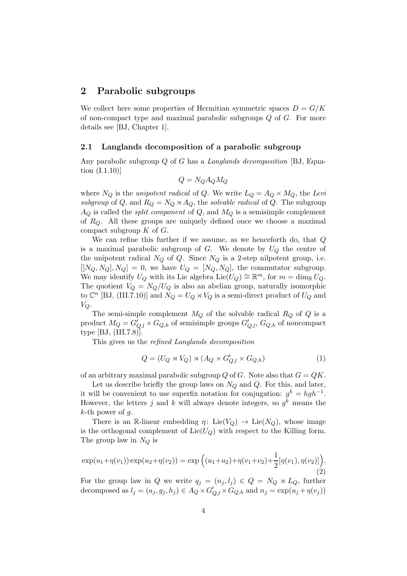### 2 Parabolic subgroups

We collect here some properties of Hermitian symmetric spaces  $D = G/K$ of non-compact type and maximal parabolic subgroups  $Q$  of  $G$ . For more details see [BJ, Chapter 1].

#### 2.1 Langlands decomposition of a parabolic subgroup

Any parabolic subgroup Q of G has a *Langlands decomposition* [BJ, Equation (I.1.10)]

$$
Q = N_Q A_Q M_Q
$$

where  $N_Q$  is the *unipotent radical* of Q. We write  $L_Q = A_Q \times M_Q$ , the Levi subgroup of Q, and  $R_Q = N_Q \rtimes A_Q$ , the solvable radical of Q. The subgroup  $A_Q$  is called the *split component* of  $Q$ , and  $M_Q$  is a semisimple complement of  $R_Q$ . All these groups are uniquely defined once we choose a maximal compact subgroup  $K$  of  $G$ .

We can refine this further if we assume, as we henceforth do, that Q is a maximal parabolic subgroup of  $G$ . We denote by  $U_Q$  the centre of the unipotent radical  $N_Q$  of  $Q$ . Since  $N_Q$  is a 2-step nilpotent group, i.e.  $[[N_Q, N_Q], N_Q] = 0$ , we have  $U_Q = [N_Q, N_Q]$ , the commutator subgroup. We may identify  $U_Q$  with its Lie algebra Lie $(U_Q) \cong \mathbb{R}^m$ , for  $m = \dim_{\mathbb{R}} U_Q$ . The quotient  $V_Q = N_Q/U_Q$  is also an abelian group, naturally isomorphic to  $\mathbb{C}^n$  [BJ, (III.7.10)] and  $N_Q = U_Q \rtimes V_Q$  is a semi-direct product of  $U_Q$  and  $V_Q$ .

The semi-simple complement  $M_Q$  of the solvable radical  $R_Q$  of  $Q$  is a product  $M_Q = G'_{Q,l} \times G_{Q,h}$  of semisimple groups  $G'_{Q,l}$ ,  $G_{Q,h}$  of noncompact type [BJ, (III.7.8)].

This gives us the refined Langlands decomposition

$$
Q = (U_Q \rtimes V_Q) \rtimes (A_Q \times G'_{Q,l} \times G_{Q,h})
$$
\n<sup>(1)</sup>

of an arbitrary maximal parabolic subgroup  $Q$  of  $G$ . Note also that  $G = QK$ .

Let us describe briefly the group laws on  $N_Q$  and  $Q$ . For this, and later, it will be convenient to use superfix notation for conjugation:  $g^h = hgh^{-1}$ . However, the letters j and k will always denote integers, so  $g^k$  means the  $k$ -th power of g.

There is an R-linear embedding  $\eta: \text{Lie}(V_Q) \to \text{Lie}(N_Q)$ , whose image is the orthogonal complement of  $Lie(U_{\mathcal{O}})$  with respect to the Killing form. The group law in  $N_Q$  is

$$
\exp(u_1 + \eta(v_1)) \exp(u_2 + \eta(v_2)) = \exp\left((u_1 + u_2) + \eta(v_1 + v_2) + \frac{1}{2}[\eta(v_1), \eta(v_2)]\right).
$$
\n(2)

For the group law in Q we write  $q_i = (n_i, l_i) \in Q = N_Q \rtimes L_Q$ , further decomposed as  $l_j = (a_j, g_j, h_j) \in A_Q \times G'_{Q,l} \times G_{Q,h}$  and  $n_j = \exp(u_j + \eta(v_j))$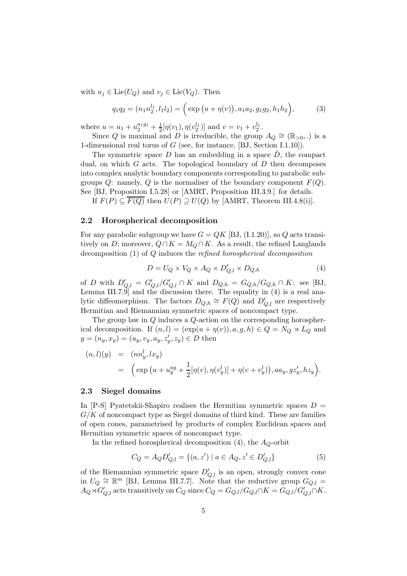with  $u_j \in \text{Lie}(U_Q)$  and  $v_j \in \text{Lie}(V_Q)$ . Then

$$
q_1 q_2 = (n_1 n_2^{l_1}, l_1 l_2) = (\exp(u + \eta(v)), a_1 a_2, g_1 g_2, h_1 h_2), \tag{3}
$$

where  $u = u_1 + u_2^{a_1 g_1} + \frac{1}{2} [\eta(v_1), \eta(v_2^{l_1})]$  and  $v = v_1 + v_2^{l_1}$ .

Since Q is maximal and D is irreducible, the group  $A_Q \cong (\mathbb{R}_{>0},.)$  is a 1-dimensional real torus of G (see, for instance, [BJ, Section I.1.10]).

The symmetric space  $D$  has an embedding in a space  $\overline{D}$ , the compact dual, on which  $G$  acts. The topological boundary of  $D$  then decomposes into complex analytic boundary components corresponding to parabolic subgroups  $Q$ : namely,  $Q$  is the normaliser of the boundary component  $F(Q)$ . See [BJ, Proposition I.5.28] or [AMRT, Proposition III.3.9.] for details. If  $F(P) \subseteq F(Q)$  then  $U(P) \supseteq U(Q)$  by [AMRT, Theorem III.4.8(i)].

#### 2.2 Horospherical decomposition

For any parabolic subgroup we have  $G = QK$  [BJ, (I.1.20)], so Q acts transitively on D; moreover,  $Q \cap K = M_Q \cap K$ . As a result, the refined Langlands decomposition (1) of Q induces the refined horospherical decomposition

$$
D = U_Q \times V_Q \times A_Q \times D'_{Q,l} \times D_{Q,h}
$$
\n<sup>(4)</sup>

of D with  $D'_{Q,l} = G'_{Q,l}/G'_{Q,l} \cap K$  and  $D_{Q,h} = G_{Q,h}/G_{Q,h} \cap K$ : see [BJ, Lemma III.7.9 and the discussion there. The equality in  $(4)$  is a real analytic diffeomorphism. The factors  $D_{Q,h} \cong F(Q)$  and  $D'_{Q,l}$  are respectively Hermitian and Riemannian symmetric spaces of noncompact type.

The group law in Q induces a Q-action on the corresponding horospherical decomposition. If  $(n, l) = (\exp(u + \eta(v)), a, g, h) \in Q = N_Q \rtimes L_Q$  and  $y = (n_y, x_y) = (u_y, v_y, a_y, z'_y, z_y) \in D$  then

$$
(n, l)(y) = (nn_y^l, lx_y) = \left( \exp \left( u + u_y^{ag} + \frac{1}{2} [\eta(v), \eta(v_y^l)] + \eta(v + v_y^l) \right), aa_y, gz_y', hz_y \right).
$$

#### 2.3 Siegel domains

In  $[P-S]$  Pyatetskii-Shapiro realises the Hermitian symmetric spaces  $D =$  $G/K$  of noncompact type as Siegel domains of third kind. These are families of open cones, parametrised by products of complex Euclidean spaces and Hermitian symmetric spaces of noncompact type.

In the refined horospherical decomposition (4), the  $A_Q$ -orbit

$$
C_Q = A_Q D'_{Q,l} = \{(a, z') \mid a \in A_Q, z' \in D'_{Q,l}\}\tag{5}
$$

of the Riemannian symmetric space  $D'_{Q,l}$  is an open, strongly convex cone in  $U_Q \cong \mathbb{R}^m$  [BJ, Lemma III.7.7]. Note that the reductive group  $G_{Q,l} =$  $A_Q \rtimes G'_{Q,l}$  acts transitively on  $C_Q$  since  $C_Q = G_{Q,l}/G_{Q,l} \cap K = G_{Q,l}/G'_{Q,l} \cap K$ .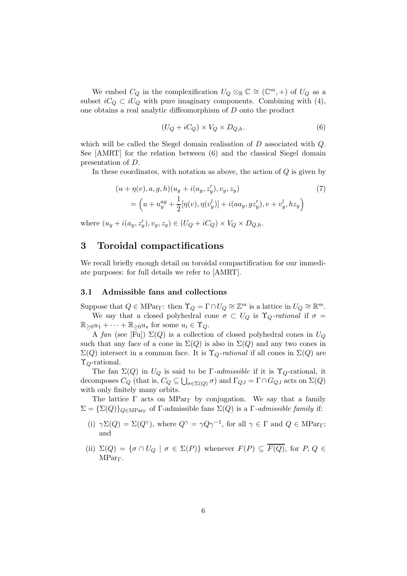We embed  $C_Q$  in the complexification  $U_Q \otimes_{\mathbb{R}} \mathbb{C} \cong (\mathbb{C}^m, +)$  of  $U_Q$  as a subset  $iC_Q \,\subset iU_Q$  with pure imaginary components. Combining with (4), one obtains a real analytic diffeomorphism of D onto the product

$$
(U_Q + iC_Q) \times V_Q \times D_{Q,h}.\tag{6}
$$

which will be called the Siegel domain realisation of D associated with Q. See [AMRT] for the relation between (6) and the classical Siegel domain presentation of D.

In these coordinates, with notation as above, the action of  $Q$  is given by

$$
(u + \eta(v), a, g, h)(u_y + i(a_y, z'_y), v_y, z_y)
$$
  
= 
$$
\left(u + u_y^{ag} + \frac{1}{2}[\eta(v), \eta(v_y^l)] + i(aa_y, gz'_y), v + v_y^l, hz_y\right)
$$
 (7)

where  $(u_y + i(a_y, z'_y), v_y, z_y) \in (U_Q + iC_Q) \times V_Q \times D_{Q,h}$ .

# 3 Toroidal compactifications

We recall briefly enough detail on toroidal compactification for our immediate purposes: for full details we refer to [AMRT].

#### 3.1 Admissible fans and collections

Suppose that  $Q \in \text{MPar}_{\Gamma}$ : then  $\Upsilon_Q = \Gamma \cap U_Q \cong \mathbb{Z}^m$  is a lattice in  $U_Q \cong \mathbb{R}^m$ . We say that a closed polyhedral cone  $\sigma \subset U_Q$  is  $\Upsilon_Q$ -rational if  $\sigma =$  $\mathbb{R}_{\geq 0}u_1 + \cdots + \mathbb{R}_{\geq 0}u_s$  for some  $u_i \in \Upsilon_Q$ .

A fan (see [Fu])  $\Sigma(Q)$  is a collection of closed polyhedral cones in  $U_Q$ such that any face of a cone in  $\Sigma(Q)$  is also in  $\Sigma(Q)$  and any two cones in  $\Sigma(Q)$  intersect in a common face. It is  $\Upsilon_Q$ -rational if all cones in  $\Sigma(Q)$  are  $\Upsilon_{Q}$ -rational.

The fan  $\Sigma(Q)$  in  $U_Q$  is said to be Γ-admissible if it is  $\Upsilon_Q$ -rational, it decomposes  $C_Q$  (that is,  $C_Q \subseteq \bigcup_{\sigma \in \Sigma(Q)} \sigma$ ) and  $\Gamma_{Q,l} = \Gamma \cap G_{Q,l}$  acts on  $\Sigma(Q)$ with only finitely many orbits.

The lattice  $\Gamma$  acts on MPar<sub>Γ</sub> by conjugation. We say that a family  $\Sigma = {\Sigma(Q)}_{Q \in \text{MPar}_{\Gamma}}$  of  $\Gamma$ -admissible fans  $\Sigma(Q)$  is a  $\Gamma$ -admissible family if:

- (i)  $\gamma \Sigma(Q) = \Sigma(Q^{\gamma})$ , where  $Q^{\gamma} = \gamma Q \gamma^{-1}$ , for all  $\gamma \in \Gamma$  and  $Q \in \text{MPar}_{\Gamma}$ ; and
- (ii)  $\Sigma(Q) = {\sigma \cap U_Q \mid \sigma \in \Sigma(P)}$  whenever  $F(P) \subseteq \overline{F(Q)}$ , for  $P, Q \in$ MParΓ.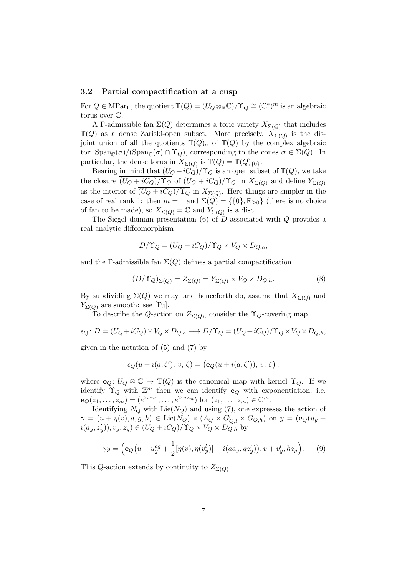#### 3.2 Partial compactification at a cusp

For  $Q \in \text{MPar}_{\Gamma}$ , the quotient  $\mathbb{T}(Q) = (U_Q \otimes_{\mathbb{R}} \mathbb{C})/\Upsilon_Q \cong (\mathbb{C}^*)^m$  is an algebraic torus over C.

A Γ-admissible fan  $\Sigma(Q)$  determines a toric variety  $X_{\Sigma(Q)}$  that includes  $\mathbb{T}(Q)$  as a dense Zariski-open subset. More precisely,  $X_{\Sigma(Q)}$  is the disjoint union of all the quotients  $\mathbb{T}(Q)_{\sigma}$  of  $\mathbb{T}(Q)$  by the complex algebraic tori  $\text{Span}_{\mathbb{C}}(\sigma)/(\text{Span}_{\mathbb{C}}(\sigma) \cap \Upsilon_Q)$ , corresponding to the cones  $\sigma \in \Sigma(Q)$ . In particular, the dense torus in  $X_{\Sigma(Q)}$  is  $\mathbb{T}(Q) = \mathbb{T}(Q)_{\{0\}}$ .

Bearing in mind that  $(U_Q + iC_Q)/\Upsilon_Q$  is an open subset of  $\mathbb{T}(Q)$ , we take the closure  $\overline{(U_Q+iC_Q)/\Upsilon_Q}$  of  $(U_Q+iC_Q)/\Upsilon_Q$  in  $X_{\Sigma(Q)}$  and define  $Y_{\Sigma(Q)}$ as the interior of  $(U_Q + iC_Q)/\Upsilon_Q$  in  $X_{\Sigma(Q)}$ . Here things are simpler in the case of real rank 1: then  $m = 1$  and  $\Sigma(Q) = \{0\}, \mathbb{R}_{\geq 0}\}\$  (there is no choice of fan to be made), so  $X_{\Sigma(Q)} = \mathbb{C}$  and  $Y_{\Sigma(Q)}$  is a disc.

The Siegel domain presentation  $(6)$  of D associated with Q provides a real analytic diffeomorphism

$$
D/\Upsilon_Q = (U_Q + iC_Q)/\Upsilon_Q \times V_Q \times D_{Q,h},
$$

and the Γ-admissible fan  $\Sigma(Q)$  defines a partial compactification

$$
(D/\Upsilon_Q)_{\Sigma(Q)} = Z_{\Sigma(Q)} = Y_{\Sigma(Q)} \times V_Q \times D_{Q,h}.
$$
\n(8)

By subdividing  $\Sigma(Q)$  we may, and henceforth do, assume that  $X_{\Sigma(Q)}$  and  $Y_{\Sigma(Q)}$  are smooth: see [Fu].

To describe the Q-action on  $Z_{\Sigma(Q)}$ , consider the Y<sub>Q</sub>-covering map

$$
\epsilon_Q \colon D = (U_Q + iC_Q) \times V_Q \times D_{Q,h} \longrightarrow D/\Upsilon_Q = (U_Q + iC_Q)/\Upsilon_Q \times V_Q \times D_{Q,h},
$$
  
given in the notation of (5) and (7) by

given in the notation of  $(5)$  and  $(7)$  by

$$
\epsilon_Q(u+i(a,\zeta'),\,v,\,\zeta)=\left(\mathbf{e}_Q(u+i(a,\zeta')), \,v,\,\zeta\right),
$$

where  $\mathbf{e}_Q: U_Q \otimes \mathbb{C} \to \mathbb{T}(Q)$  is the canonical map with kernel  $\Upsilon_Q$ . If we identify  $\Upsilon_Q$  with  $\mathbb{Z}^m$  then we can identify  $\mathbf{e}_Q$  with exponentiation, i.e.  ${\bf e}_Q(z_1,\ldots,z_m)=(e^{2\pi i z_1},\ldots,e^{2\pi i z_m})$  for  $(z_1,\ldots,z_m)\in\mathbb{C}^m$ .

Identifying  $N_Q$  with Lie( $N_Q$ ) and using (7), one expresses the action of  $\gamma = (u + \eta(v), a, g, h) \in \text{Lie}(N_Q) \rtimes (A_Q \times G'_{Q,l} \times G_{Q,h})$  on  $y = (\mathbf{e}_Q(u_y + h) \times g)$  $i(a_y, z'_y), v_y, z_y) \in (U_Q + iC_Q)/{\Upsilon}_Q \times V_Q \times D_{Q,h}$  by

$$
\gamma y = \left( \mathbf{e}_Q(u + u_y^{ag} + \frac{1}{2} [\eta(v), \eta(v_y^l)] + i(aa_y, gz_y'), v + v_y^l, hz_y \right). \tag{9}
$$

This Q-action extends by continuity to  $Z_{\Sigma(Q)}$ .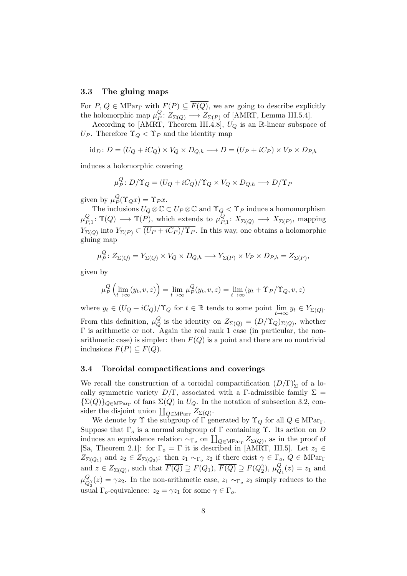#### 3.3 The gluing maps

For P,  $Q \in \text{MPar}_{\Gamma}$  with  $F(P) \subseteq \overline{F(Q)}$ , we are going to describe explicitly the holomorphic map  $\mu_P^Q$  $P^Q_P: Z_{\Sigma(Q)} \longrightarrow Z_{\Sigma(P)}$  of [AMRT, Lemma III.5.4].

According to [AMRT, Theorem III.4.8],  $U_Q$  is an R-linear subspace of U<sub>P</sub>. Therefore  $\Upsilon_Q < \Upsilon_P$  and the identity map

 $id_D: D = (U_O + iC_O) \times V_O \times D_{O,h} \longrightarrow D = (U_P + iC_P) \times V_P \times D_{P,h}$ 

induces a holomorphic covering

$$
\mu_P^Q: D/\Upsilon_Q = (U_Q + iC_Q)/\Upsilon_Q \times V_Q \times D_{Q,h} \longrightarrow D/\Upsilon_P
$$

given by  $\mu_P^Q$  $P_P^Q(\Upsilon_Q x) = \Upsilon_P x.$ 

The inclusions  $U_Q \otimes \mathbb{C} \subset U_P \otimes \mathbb{C}$  and  $\Upsilon_Q < \Upsilon_P$  induce a homomorphism  $\mu_P^Q$  $P_{P,1}^Q: \mathbb{T}(Q) \longrightarrow \mathbb{T}(P)$ , which extends to  $\mu_P^Q$  $\chi_{P,1}: X_{\Sigma(Q)} \longrightarrow X_{\Sigma(P)}$ , mapping  $Y_{\Sigma(Q)}$  into  $Y_{\Sigma(P)} \subset (U_P + iC_P)/\Upsilon_P$ . In this way, one obtains a holomorphic gluing map

$$
\mu_P^Q\colon Z_{\Sigma(Q)} = Y_{\Sigma(Q)} \times V_Q \times D_{Q,h} \longrightarrow Y_{\Sigma(P)} \times V_P \times D_{P,h} = Z_{\Sigma(P)},
$$

given by

$$
\mu_P^Q\left(\lim_{t\to\infty}(y_t,v,z)\right) = \lim_{t\to\infty}\mu_P^Q(y_t,v,z) = \lim_{t\to\infty}(y_t+\Upsilon_P/\Upsilon_Q,v,z)
$$

where  $y_t \in (U_Q + iC_Q)/\Upsilon_Q$  for  $t \in \mathbb{R}$  tends to some point  $\lim_{t \to \infty} y_t \in Y_{\Sigma(Q)}$ . From this definition,  $\mu_Q^Q$  $\overset{\mathsf{Q}}{Q}$  is the identity on  $Z_{\Sigma(Q)} = (D/\Upsilon_Q)_{\Sigma(Q)}$ , whether Γ is arithmetic or not. Again the real rank 1 case (in particular, the nonarithmetic case) is simpler: then  $F(Q)$  is a point and there are no nontrivial inclusions  $F(P) \subseteq F(Q)$ .

#### 3.4 Toroidal compactifications and coverings

We recall the construction of a toroidal compactification  $(D/\Gamma)'_{\Sigma}$  of a locally symmetric variety  $D/\Gamma$ , associated with a Γ-admissible family  $\Sigma =$  $\{\Sigma(Q)\}_{Q\in \text{MPar}_{\Gamma}}$  of fans  $\Sigma(Q)$  in  $U_Q$ . In the notation of subsection 3.2, consider the disjoint union  $\coprod_{Q \in \mathcal{M} \mathcal{P}ar_{\Gamma}} Z_{\Sigma(Q)}$ .

We denote by  $\Upsilon$  the subgroup of  $\Gamma$  generated by  $\Upsilon_Q$  for all  $Q \in \mathop{\rm MPar}\nolimits_{\Gamma}$ . Suppose that  $\Gamma_o$  is a normal subgroup of  $\Gamma$  containing  $\Upsilon$ . Its action on D induces an equivalence relation  $\sim_{\Gamma_o}$  on  $\prod_{Q \in \text{MPar}_{\Gamma}} Z_{\Sigma(Q)}$ , as in the proof of [Sa, Theorem 2.1]: for  $\Gamma_o = \Gamma$  it is described in [AMRT, III.5]. Let  $z_1 \in$  $Z_{\Sigma(Q_1)}$  and  $z_2 \in Z_{\Sigma(Q_2)}$ : then  $z_1 \sim_{\Gamma_o} z_2$  if there exist  $\gamma \in \Gamma_o$ ,  $Q \in \text{MPar}_{\Gamma}$ and  $z \in Z_{\Sigma(Q)}$ , such that  $\overline{F(Q)} \supseteq F(Q_1), \overline{F(Q)} \supseteq F(Q_2^{\gamma})$  $_2^\gamma),\,\mu_Q^Q$  $Q_1(z) = z_1$  and  $\mu^Q_O$  $Q_{\gamma}(z) = \gamma z_2$ . In the non-arithmetic case,  $z_1 \sim_{\Gamma_o} z_2$  simply reduces to the usual  $\Gamma_o$ -equivalence:  $z_2 = \gamma z_1$  for some  $\gamma \in \Gamma_o$ .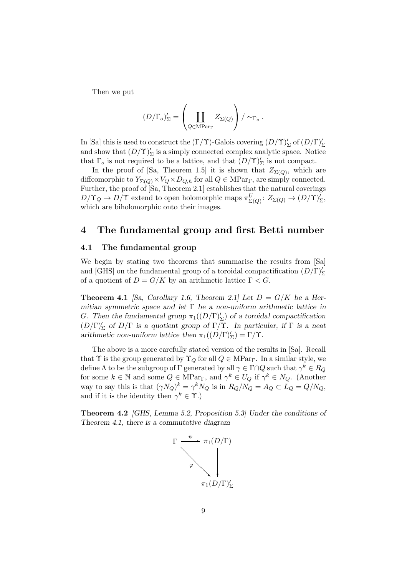Then we put

$$
(D/\Gamma_o)'_{\Sigma} = \left(\coprod_{Q \in \mathrm{MPar}_{\Gamma}} Z_{\Sigma(Q)}\right) / \sim_{\Gamma_o}.
$$

In [Sa] this is used to construct the  $(\Gamma/\Upsilon)$ -Galois covering  $(D/\Upsilon)'_{\Sigma}$  of  $(D/\Gamma)'_{\Sigma}$ and show that  $(D/\Upsilon)'_{\Sigma}$  is a simply connected complex analytic space. Notice that  $\Gamma_o$  is not required to be a lattice, and that  $(D/\Upsilon)'_{\Sigma}$  is not compact.

In the proof of [Sa, Theorem 1.5] it is shown that  $Z_{\Sigma(Q)}$ , which are diffeomorphic to  $Y_{\Sigma(Q)} \times V_Q \times D_{Q,h}$  for all  $Q \in \text{MPar}_{\Gamma}$ , are simply connected. Further, the proof of [Sa, Theorem 2.1] establishes that the natural coverings  $D/\Upsilon_Q \to D/\Upsilon$  extend to open holomorphic maps  $\pi_{\Sigma(Q)}^U: Z_{\Sigma(Q)} \to (D/\Upsilon)'_{\Sigma}$ , which are biholomorphic onto their images.

## 4 The fundamental group and first Betti number

#### 4.1 The fundamental group

We begin by stating two theorems that summarise the results from [Sa] and [GHS] on the fundamental group of a toroidal compactification  $(D/\Gamma)'_{\Sigma}$ of a quotient of  $D = G/K$  by an arithmetic lattice  $\Gamma < G$ .

**Theorem 4.1** [Sa, Corollary 1.6, Theorem 2.1] Let  $D = G/K$  be a Hermitian symmetric space and let  $\Gamma$  be a non-uniform arithmetic lattice in G. Then the fundamental group  $\pi_1((D/\Gamma)_{\Sigma}')$  of a toroidal compactification  $(D/\Gamma)'_{\Sigma}$  of  $D/\Gamma$  is a quotient group of  $\Gamma/\Upsilon$ . In particular, if  $\Gamma$  is a neat arithmetic non-uniform lattice then  $\pi_1((D/\Gamma)'_{\Sigma}) = \Gamma/\Upsilon$ .

The above is a more carefully stated version of the results in [Sa]. Recall that  $\Upsilon$  is the group generated by  $\Upsilon_{Q}$  for all  $Q \in \text{MPar}_{\Gamma}$ . In a similar style, we define  $\Lambda$  to be the subgroup of  $\Gamma$  generated by all  $\gamma\in \Gamma\cap Q$  such that  $\gamma^k\in R_Q$ for some  $k \in \mathbb{N}$  and some  $Q \in \text{MPar}_{\Gamma}$ , and  $\gamma^k \in U_Q$  if  $\gamma^k \in N_Q$ . (Another way to say this is that  $(\gamma N_Q)^k = \gamma^k N_Q$  is in  $R_Q/N_Q = A_Q \subset L_Q = Q/N_Q$ , and if it is the identity then  $\gamma^k \in \Upsilon$ .)

Theorem 4.2 [GHS, Lemma 5.2, Proposition 5.3] Under the conditions of Theorem 4.1, there is a commutative diagram

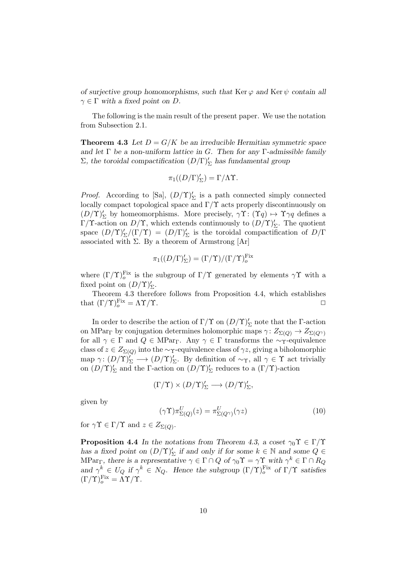of surjective group homomorphisms, such that Ker  $\varphi$  and Ker  $\psi$  contain all  $\gamma \in \Gamma$  with a fixed point on D.

The following is the main result of the present paper. We use the notation from Subsection 2.1.

**Theorem 4.3** Let  $D = G/K$  be an irreducible Hermitian symmetric space and let  $\Gamma$  be a non-uniform lattice in G. Then for any  $\Gamma$ -admissible family  $\Sigma$ , the toroidal compactification  $(D/\Gamma)'_{\Sigma}$  has fundamental group

$$
\pi_1((D/\Gamma)_{\Sigma}')=\Gamma/\Lambda\Upsilon.
$$

*Proof.* According to [Sa],  $(D/\Upsilon)'_{\Sigma}$  is a path connected simply connected locally compact topological space and  $\Gamma/\Upsilon$  acts properly discontinuously on  $(D/\Upsilon)'_{\Sigma}$  by homeomorphisms. More precisely,  $\gamma\Upsilon \colon (\Upsilon q) \mapsto \Upsilon \gamma q$  defines a Γ/Υ-action on  $D/\Upsilon$ , which extends continuously to  $(D/\Upsilon)'_{\Sigma}$ . The quotient space  $(D/\Upsilon)'_{\Sigma}/(\Gamma/\Upsilon) = (D/\Gamma)'_{\Sigma}$  is the toroidal compactification of  $D/\Gamma$ associated with  $\Sigma$ . By a theorem of Armstrong [Ar]

$$
\pi_1((D/\Gamma)_{\Sigma}') = (\Gamma/\Upsilon)/(\Gamma/\Upsilon)_{o}^{\text{Fix}}
$$

where  $(\Gamma/\Upsilon)_{o}^{\text{Fix}}$  is the subgroup of  $\Gamma/\Upsilon$  generated by elements  $\gamma\Upsilon$  with a fixed point on  $(D/\Upsilon)'_{\Sigma}$ .

Theorem 4.3 therefore follows from Proposition 4.4, which establishes that  $(\Gamma/\Upsilon)_{o}^{\text{Fix}} = \Lambda \Upsilon/\Upsilon$ .

In order to describe the action of  $\Gamma/\Upsilon$  on  $(D/\Upsilon)'_{\Sigma}$  note that the  $\Gamma$ -action on MPar<sub>Γ</sub> by conjugation determines holomorphic maps  $\gamma: Z_{\Sigma(Q)} \to Z_{\Sigma(Q^{\gamma})}$ for all  $\gamma \in \Gamma$  and  $Q \in \text{MPar}_{\Gamma}$ . Any  $\gamma \in \Gamma$  transforms the ~γ-equivalence class of  $z \in Z_{\Sigma(Q)}$  into the ~ $\gamma$ -equivalence class of  $\gamma z$ , giving a biholomorphic map  $\gamma: (D/\Upsilon)'_{\Sigma} \longrightarrow (D/\Upsilon)'_{\Sigma}$ . By definition of ~  $\gamma$ , all  $\gamma \in \Upsilon$  act trivially on  $(D/\Upsilon)'_{\Sigma}$  and the  $\Gamma$ -action on  $(D/\Upsilon)'_{\Sigma}$  reduces to a  $(\Gamma/\Upsilon)$ -action

$$
(\Gamma/{\Upsilon})\times(D/{\Upsilon})'_{\Sigma}\longrightarrow(D/{\Upsilon})'_{\Sigma},
$$

given by

$$
(\gamma \Upsilon) \pi_{\Sigma(Q)}^U(z) = \pi_{\Sigma(Q^{\gamma})}^U(\gamma z)
$$
\n(10)

for  $\gamma \Upsilon \in \Gamma/\Upsilon$  and  $z \in Z_{\Sigma(Q)}$ .

**Proposition 4.4** In the notations from Theorem 4.3, a coset  $\gamma_0 \Upsilon \in \Gamma/\Upsilon$ has a fixed point on  $(D/\Upsilon)'_{\Sigma}$  if and only if for some  $k \in \mathbb{N}$  and some  $Q \in$ MPar<sub>Γ</sub>, there is a representative  $\gamma \in \Gamma \cap Q$  of  $\gamma_0 \Upsilon = \gamma \Upsilon$  with  $\gamma^k \in \Gamma \cap R_Q$ and  $\gamma^k \in U_Q$  if  $\gamma^k \in N_Q$ . Hence the subgroup  $(\Gamma/\Upsilon)_o^{\text{Fix}}$  of  $\Gamma/\Upsilon$  satisfies  $(\Gamma/\Upsilon)_{o}^{\text{Fix}} = \Lambda \Upsilon/\Upsilon.$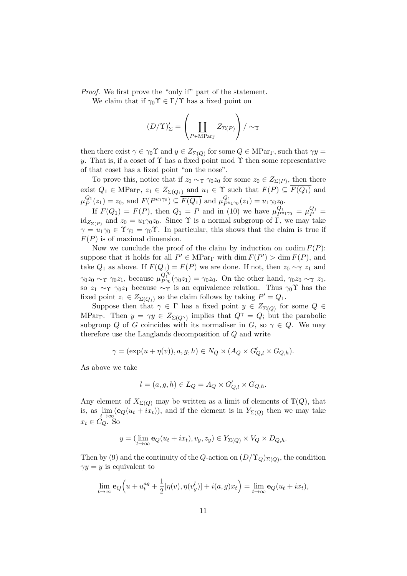Proof. We first prove the "only if" part of the statement.

We claim that if  $\gamma_0 \Upsilon \in \Gamma/\Upsilon$  has a fixed point on

$$
(D/\Upsilon)'_{\Sigma} = \left(\coprod_{P \in \mathrm{MPar}_{\Gamma}} Z_{\Sigma(P)}\right) / \sim_{\Upsilon}
$$

then there exist  $\gamma \in \gamma_0 \Upsilon$  and  $y \in Z_{\Sigma(Q)}$  for some  $Q \in \text{MPar}_{\Gamma}$ , such that  $\gamma y =$ y. That is, if a coset of  $\Upsilon$  has a fixed point mod  $\Upsilon$  then some representative of that coset has a fixed point "on the nose".

To prove this, notice that if  $z_0 \sim_\Upsilon \gamma_0 z_0$  for some  $z_0 \in Z_{\Sigma(P)}$ , then there exist  $Q_1 \in \text{MPar}_{\Gamma}$ ,  $z_1 \in Z_{\Sigma(Q_1)}$  and  $u_1 \in \Upsilon$  such that  $F(P) \subseteq \overline{F(Q_1)}$  and  $\mu_P^{Q_1}(z_1) = z_0$ , and  $F(P^{u_1\gamma_0}) \subseteq \overline{F(Q_1)}$  and  $\mu_{P^{u_1\gamma_0}}^{Q_1}(z_1) = u_1\gamma_0z_0$ .

If  $F(Q_1) = F(P)$ , then  $Q_1 = P$  and in (10) we have  $\mu_{P^{u_1}\gamma_0}^{Q_1} = \mu_P^{Q_1} =$  $\mathrm{id}_{Z_{\Sigma(P)}}$  and  $z_0 = u_1 \gamma_0 z_0$ . Since  $\Upsilon$  is a normal subgroup of  $\Gamma$ , we may take  $\gamma = u_1 \gamma_0 \in \Upsilon \gamma_0 = \gamma_0 \Upsilon$ . In particular, this shows that the claim is true if  $F(P)$  is of maximal dimension.

Now we conclude the proof of the claim by induction on codim  $F(P)$ : suppose that it holds for all  $P' \in \text{MPar}_{\Gamma}$  with  $\dim F(P') > \dim F(P)$ , and take  $Q_1$  as above. If  $F(Q_1) = F(P)$  we are done. If not, then  $z_0 \sim \gamma z_1$  and  $\gamma_0 z_0 \sim \gamma \gamma_0 z_1$ , because  $\mu_{P\gamma_0}^{\gamma_0^{\gamma_0}}(\gamma_0 z_1) = \gamma_0 z_0$ . On the other hand,  $\gamma_0 z_0 \sim \gamma z_1$ , so  $z_1 \sim_\Upsilon \gamma_0 z_1$  because  $\sim_\Upsilon$  is an equivalence relation. Thus  $\gamma_0 \Upsilon$  has the fixed point  $z_1 \in Z_{\Sigma(Q_1)}$  so the claim follows by taking  $P' = Q_1$ .

Suppose then that  $\gamma \in \Gamma$  has a fixed point  $y \in Z_{\Sigma(Q)}$  for some  $Q \in$ MPar<sub>Γ</sub>. Then  $y = \gamma y \in Z_{\Sigma(Q^{\gamma})}$  implies that  $Q^{\gamma} = Q$ ; but the parabolic subgroup Q of G coincides with its normaliser in G, so  $\gamma \in Q$ . We may therefore use the Langlands decomposition of Q and write

$$
\gamma = (\exp(u + \eta(v)), a, g, h) \in N_Q \rtimes (A_Q \times G'_{Q,l} \times G_{Q,h}).
$$

As above we take

$$
l = (a, g, h) \in L_Q = A_Q \times G'_{Q,l} \times G_{Q,h}.
$$

Any element of  $X_{\Sigma(Q)}$  may be written as a limit of elements of  $\mathbb{T}(Q)$ , that is, as  $\lim_{t\to\infty}$  (e<sub>Q</sub>(u<sub>t</sub> + ix<sub>t</sub>)), and if the element is in  $Y_{\Sigma(Q)}$  then we may take  $x_t \in C_Q$ . So

$$
y = (\lim_{t \to \infty} \mathbf{e}_Q(u_t + ix_t), v_y, z_y) \in Y_{\Sigma(Q)} \times V_Q \times D_{Q,h}.
$$

Then by (9) and the continuity of the Q-action on  $(D/\Upsilon_Q)_{\Sigma(Q)}$ , the condition  $\gamma y = y$  is equivalent to

$$
\lim_{t \to \infty} \mathbf{e}_Q(u + u_t^{ag} + \frac{1}{2}[\eta(v), \eta(v_y^l)] + i(a, g)x_t) = \lim_{t \to \infty} \mathbf{e}_Q(u_t + ix_t),
$$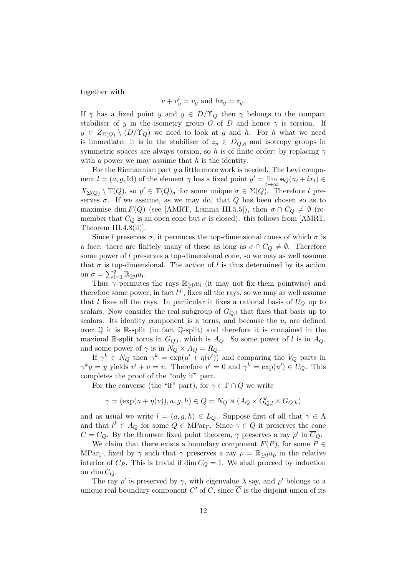together with

$$
v + v_y^l = v_y
$$
 and  $hz_y = z_y$ .

If  $\gamma$  has a fixed point y and  $y \in D/\Upsilon_Q$  then  $\gamma$  belongs to the compact stabiliser of y in the isometry group G of D and hence  $\gamma$  is torsion. If  $y \in Z_{\Sigma(O)} \setminus (D/\Upsilon_Q)$  we need to look at g and h. For h what we need is immediate: it is in the stabiliser of  $z_y \in D_{Q,h}$  and isotropy groups in symmetric spaces are always torsion, so h is of finite order: by replacing  $\gamma$ with a power we may assume that  $h$  is the identity.

For the Riemannian part  $g$  a little more work is needed. The Levi component  $l = (a, g, Id)$  of the element  $\gamma$  has a fixed point  $y' = \lim_{t \to \infty} \mathbf{e}_Q(u_t + ix_t) \in$  $X_{\Sigma(Q)} \setminus \mathbb{T}(Q)$ , so  $y' \in \mathbb{T}(Q)_{\sigma}$  for some unique  $\sigma \in \Sigma(Q)$ . Therefore l preserves  $\sigma$ . If we assume, as we may do, that Q has been chosen so as to maximise dim  $F(Q)$  (see [AMRT, Lemma III.5.5]), then  $\sigma \cap C_Q \neq \emptyset$  (remember that  $C_Q$  is an open cone but  $\sigma$  is closed): this follows from [AMRT, Theorem III.4.8(ii)].

Since l preserves  $\sigma$ , it permutes the top-dimensional cones of which  $\sigma$  is a face: there are finitely many of these as long as  $\sigma \cap C_Q \neq \emptyset$ . Therefore some power of l preserves a top-dimensional cone, so we may as well assume that  $\sigma$  is top-dimensional. The action of l is thus determined by its action on  $\sigma = \sum_{i=1}^q \mathbb{R}_{\geq 0} u_i$ .

Thus  $\gamma$  permutes the rays  $\mathbb{R}_{\geq 0}u_i$  (it may not fix them pointwise) and therefore some power, in fact  $l^{q}$ , fixes all the rays, so we may as well assume that l fixes all the rays. In particular it fixes a rational basis of  $U_Q$  up to scalars. Now consider the real subgroup of  $G_{Q,l}$  that fixes that basis up to scalars. Its identity component is a torus, and because the  $u_i$  are defined over Q it is R-split (in fact Q-split) and therefore it is contained in the maximal R-split torus in  $G_{Q,l}$ , which is  $A_Q$ . So some power of l is in  $A_Q$ , and some power of  $\gamma$  is in  $N_Q \rtimes A_Q = R_Q$ .

If  $\gamma^k \in N_Q$  then  $\gamma^k = \exp(u' + \eta(v'))$  and comparing the  $V_Q$  parts in  $\gamma^k y = y$  yields  $v' + v = v$ . Therefore  $v' = 0$  and  $\gamma^k = \exp(u') \in U_Q$ . This completes the proof of the "only if" part.

For the converse (the "if" part), for  $\gamma \in \Gamma \cap Q$  we write

$$
\gamma = (\exp(u + \eta(v)), a, g, h) \in Q = N_Q \rtimes (A_Q \times G'_{Q,l} \times G_{Q,h})
$$

and as usual we write  $l = (a, g, h) \in L_0$ . Suppose first of all that  $\gamma \in \Lambda$ and that  $l^k \in A_Q$  for some  $Q \in \text{MPar}_{\Gamma}$ . Since  $\gamma \in Q$  it preserves the cone  $C = C_Q$ . By the Brouwer fixed point theorem,  $\gamma$  preserves a ray  $\rho'$  in  $\overline{C}_Q$ .

We claim that there exists a boundary component  $F(P)$ , for some  $P \in$ MPar<sub>Γ</sub>, fixed by  $\gamma$  such that  $\gamma$  preserves a ray  $\rho = \mathbb{R}_{\geq 0} u_{\rho}$  in the relative interior of  $C_P$ . This is trivial if dim  $C_Q = 1$ . We shall proceed by induction on dim  $C_Q$ .

The ray  $\rho'$  is preserved by  $\gamma$ , with eigenvalue  $\lambda$  say, and  $\rho'$  belongs to a unique real boundary component  $C'$  of  $C$ , since  $\overline{C}$  is the disjoint union of its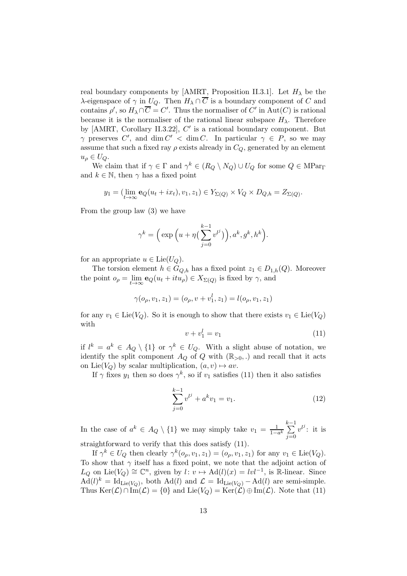real boundary components by [AMRT, Proposition II.3.1]. Let  $H_{\lambda}$  be the λ-eigenspace of  $\gamma$  in  $U_Q$ . Then  $H_\lambda \cap \overline{C}$  is a boundary component of C and contains  $\rho'$ , so  $H_\lambda \cap \overline{C} = C'$ . Thus the normaliser of  $C'$  in  $Aut(C)$  is rational because it is the normaliser of the rational linear subspace  $H_{\lambda}$ . Therefore by  $[AMRT, Corollary II.3.22], C'$  is a rational boundary component. But  $\gamma$  preserves C', and dim C' < dim C. In particular  $\gamma \in P$ , so we may assume that such a fixed ray  $\rho$  exists already in  $C_Q$ , generated by an element  $u_{\rho} \in U_Q$ .

We claim that if  $\gamma \in \Gamma$  and  $\gamma^k \in (R_Q \setminus N_Q) \cup U_Q$  for some  $Q \in \text{MPar}_{\Gamma}$ and  $k \in \mathbb{N}$ , then  $\gamma$  has a fixed point

$$
y_1 = (\lim_{t \to \infty} \mathbf{e}_Q(u_t + ix_t), v_1, z_1) \in Y_{\Sigma(Q)} \times V_Q \times D_{Q,h} = Z_{\Sigma(Q)}.
$$

From the group law (3) we have

$$
\gamma^k = \Big(\exp\Big(u + \eta\big(\sum_{j=0}^{k-1} v^{l^j}\big)\Big), a^k, g^k, h^k\Big).
$$

for an appropriate  $u \in \text{Lie}(U_Q)$ .

The torsion element  $h \in G_{Q,h}$  has a fixed point  $z_1 \in D_{1,h}(Q)$ . Moreover the point  $o_{\rho} = \lim_{t \to \infty} \mathbf{e}_{Q}(u_{t} + itu_{\rho}) \in X_{\Sigma(Q)}$  is fixed by  $\gamma$ , and

$$
\gamma(o_{\rho}, v_1, z_1) = (o_{\rho}, v + v_1^l, z_1) = l(o_{\rho}, v_1, z_1)
$$

for any  $v_1 \in \text{Lie}(V_Q)$ . So it is enough to show that there exists  $v_1 \in \text{Lie}(V_Q)$ with

$$
v + v_1^l = v_1 \tag{11}
$$

if  $l^k = a^k \in A_Q \setminus \{1\}$  or  $\gamma^k \in U_Q$ . With a slight abuse of notation, we identify the split component  $A_Q$  of Q with  $(\mathbb{R}_{>0},.)$  and recall that it acts on Lie( $V_Q$ ) by scalar multiplication,  $(a, v) \mapsto av$ .

If  $\gamma$  fixes  $y_1$  then so does  $\gamma^k$ , so if  $v_1$  satisfies (11) then it also satisfies

$$
\sum_{j=0}^{k-1} v^{l^j} + a^k v_1 = v_1.
$$
 (12)

In the case of  $a^k \in A_Q \setminus \{1\}$  we may simply take  $v_1 = \frac{1}{1-a^k}$  $\sum_{ }^{k-1}$  $j=0$  $v^{l^j}$ : it is

straightforward to verify that this does satisfy (11).

If  $\gamma^k \in U_Q$  then clearly  $\gamma^k(o_\rho, v_1, z_1) = (o_\rho, v_1, z_1)$  for any  $v_1 \in \text{Lie}(V_Q)$ . To show that  $\gamma$  itself has a fixed point, we note that the adjoint action of  $L_Q$  on Lie( $V_Q$ )  $\cong \mathbb{C}^n$ , given by  $l: v \mapsto \mathrm{Ad}(l)(x) = lvl^{-1}$ , is R-linear. Since  $\text{Ad}(l)^k = \text{Id}_{\text{Lie}(V_Q)}$ , both  $\text{Ad}(l)$  and  $\mathcal{L} = \text{Id}_{\text{Lie}(V_Q)} - \text{Ad}(l)$  are semi-simple. Thus  $\text{Ker}(\mathcal{L}) \cap \text{Im}(\mathcal{L}) = \{0\}$  and  $\text{Lie}(V_Q) = \text{Ker}(\mathcal{L}) \oplus \text{Im}(\mathcal{L})$ . Note that (11)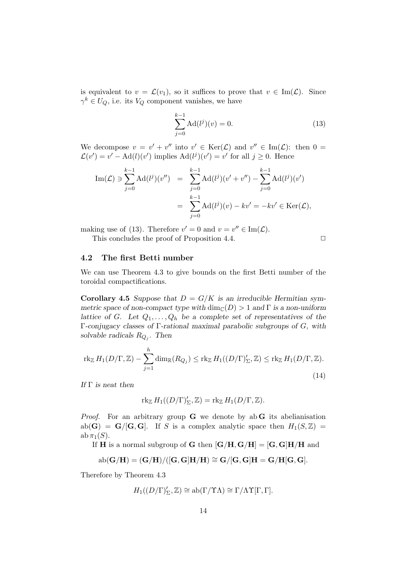is equivalent to  $v = \mathcal{L}(v_1)$ , so it suffices to prove that  $v \in \text{Im}(\mathcal{L})$ . Since  $\gamma^k \in U_Q$ , i.e. its  $V_Q$  component vanishes, we have

$$
\sum_{j=0}^{k-1} \text{Ad}(l^j)(v) = 0.
$$
 (13)

We decompose  $v = v' + v''$  into  $v' \in \text{Ker}(\mathcal{L})$  and  $v'' \in \text{Im}(\mathcal{L})$ : then  $0 =$  $\mathcal{L}(v') = v' - \text{Ad}(l)(v')$  implies  $\text{Ad}(l^j)(v') = v'$  for all  $j \geq 0$ . Hence

Im(
$$
\mathcal{L}
$$
)  $\ni \sum_{j=0}^{k-1} \text{Ad}(l^{j})(v'')$  =  $\sum_{j=0}^{k-1} \text{Ad}(l^{j})(v' + v'') - \sum_{j=0}^{k-1} \text{Ad}(l^{j})(v')$   
 =  $\sum_{j=0}^{k-1} \text{Ad}(l^{j})(v) - kv' = -kv' \in \text{Ker}(\mathcal{L}),$ 

making use of (13). Therefore  $v' = 0$  and  $v = v'' \in \text{Im}(\mathcal{L})$ . This concludes the proof of Proposition 4.4.  $\Box$ 

#### 4.2 The first Betti number

We can use Theorem 4.3 to give bounds on the first Betti number of the toroidal compactifications.

Corollary 4.5 Suppose that  $D = G/K$  is an irreducible Hermitian symmetric space of non-compact type with  $\dim_{\mathbb{C}}(D) > 1$  and  $\Gamma$  is a non-uniform lattice of G. Let  $Q_1, \ldots, Q_h$  be a complete set of representatives of the Γ-conjugacy classes of Γ-rational maximal parabolic subgroups of G, with solvable radicals  $R_{Q_j}$ . Then

$$
\operatorname{rk}_{\mathbb{Z}} H_1(D/\Gamma, \mathbb{Z}) - \sum_{j=1}^h \dim_{\mathbb{R}}(R_{Q_j}) \le \operatorname{rk}_{\mathbb{Z}} H_1((D/\Gamma)'_{\Sigma}, \mathbb{Z}) \le \operatorname{rk}_{\mathbb{Z}} H_1(D/\Gamma, \mathbb{Z}).
$$
\n(14)

If  $\Gamma$  is neat then

$$
\operatorname{rk}_{\mathbb{Z}} H_1((D/\Gamma)'_{\Sigma}, \mathbb{Z}) = \operatorname{rk}_{\mathbb{Z}} H_1(D/\Gamma, \mathbb{Z}).
$$

*Proof.* For an arbitrary group  $G$  we denote by ab  $G$  its abelianisation  $ab(G) = G/[G, G]$ . If S is a complex analytic space then  $H_1(S, \mathbb{Z}) =$  $ab \pi_1(S)$ .

If **H** is a normal subgroup of **G** then  $[G/H, G/H] = [G, G]H/H$  and

$$
\operatorname{ab}(\mathbf{G}/\mathbf{H})=(\mathbf{G}/\mathbf{H})/([ \mathbf{G},\mathbf{G}]\mathbf{H}/\mathbf{H})\cong \mathbf{G}/[ \mathbf{G},\mathbf{G}]\mathbf{H}=\mathbf{G}/\mathbf{H}[\mathbf{G},\mathbf{G}].
$$

Therefore by Theorem 4.3

$$
H_1((D/\Gamma)_{\Sigma}',\mathbb{Z}) \cong \mathrm{ab}(\Gamma/\Upsilon\Lambda) \cong \Gamma/\Lambda\Upsilon[\Gamma,\Gamma].
$$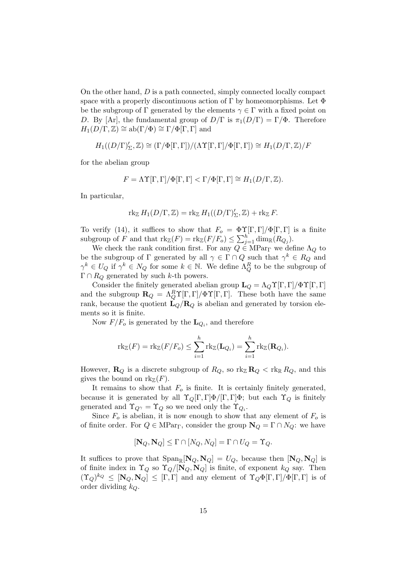On the other hand, D is a path connected, simply connected locally compact space with a properly discontinuous action of  $\Gamma$  by homeomorphisms. Let  $\Phi$ be the subgroup of  $\Gamma$  generated by the elements  $\gamma \in \Gamma$  with a fixed point on D. By [Ar], the fundamental group of  $D/\Gamma$  is  $\pi_1(D/\Gamma) = \Gamma/\Phi$ . Therefore  $H_1(D/\Gamma,\mathbb{Z}) \cong ab(\Gamma/\Phi) \cong \Gamma/\Phi[\Gamma,\Gamma]$  and

$$
H_1((D/\Gamma)'_\Sigma,\mathbb{Z})\cong (\Gamma/\Phi[\Gamma,\Gamma])/(\Lambda\Upsilon[\Gamma,\Gamma]/\Phi[\Gamma,\Gamma])\cong H_1(D/\Gamma,\mathbb{Z})/F
$$

for the abelian group

$$
F = \Lambda \Upsilon[\Gamma, \Gamma] / \Phi[\Gamma, \Gamma] < \Gamma / \Phi[\Gamma, \Gamma] \cong H_1(D/\Gamma, \mathbb{Z}).
$$

In particular,

$$
\operatorname{rk}_{\mathbb{Z}} H_1(D/\Gamma,\mathbb{Z}) = \operatorname{rk}_{\mathbb{Z}} H_1((D/\Gamma)'_{\Sigma},\mathbb{Z}) + \operatorname{rk}_{\mathbb{Z}} F.
$$

To verify (14), it suffices to show that  $F_o = \Phi \Upsilon[\Gamma, \Gamma]/\Phi[\Gamma, \Gamma]$  is a finite subgroup of F and that  $\text{rk}_{\mathbb{Z}}(F) = \text{rk}_{\mathbb{Z}}(F/F_o) \leq \sum_{j=1}^{h} \dim_{\mathbb{R}}(R_{Q_j}).$ 

We check the rank condition first. For any  $Q \in \mathop{\rm MPar}\nolimits_{\Gamma}$  we define  $\Lambda_Q$  to be the subgroup of  $\Gamma$  generated by all  $\gamma \in \Gamma \cap Q$  such that  $\gamma^k \in R_Q$  and  $\gamma^k \in U_Q$  if  $\gamma^k \in N_Q$  for some  $k \in \mathbb{N}$ . We define  $\Lambda_Q^R$  to be the subgroup of  $\Gamma \cap R_Q$  generated by such k-th powers.

Consider the finitely generated abelian group  $\mathbf{L}_Q = \Lambda_Q \Upsilon[\Gamma, \Gamma]/\Phi \Upsilon[\Gamma, \Gamma]$ and the subgroup  $\mathbf{R}_Q = \Lambda_Q^R \Upsilon[\Gamma, \Gamma]/\Phi \Upsilon[\Gamma, \Gamma]$ . These both have the same rank, because the quotient  $\mathbf{L}_Q/\mathbf{R}_Q$  is abelian and generated by torsion elements so it is finite.

Now  $F/F_o$  is generated by the  $\mathbf{L}_{Q_i}$ , and therefore

$$
\mathrm{rk}_{\mathbb{Z}}(F) = \mathrm{rk}_{\mathbb{Z}}(F/F_o) \leq \sum_{i=1}^h \mathrm{rk}_{\mathbb{Z}}(\mathbf{L}_{Q_i}) = \sum_{i=1}^h \mathrm{rk}_{\mathbb{Z}}(\mathbf{R}_{Q_i}).
$$

However,  $\mathbf{R}_Q$  is a discrete subgroup of  $R_Q$ , so  $\text{rk}_{\mathbb{Z}} \mathbf{R}_Q < \text{rk}_{\mathbb{R}} R_Q$ , and this gives the bound on  $\text{rk}_{\mathbb{Z}}(F)$ .

It remains to show that  $F<sub>o</sub>$  is finite. It is certainly finitely generated, because it is generated by all  $\Upsilon_Q[\Gamma,\Gamma]\Phi/[\Gamma,\Gamma]\Phi$ ; but each  $\Upsilon_Q$  is finitely generated and  $\Upsilon_{Q^{\gamma}} = \Upsilon_Q$  so we need only the  $\Upsilon_{Q_i}$ .

Since  $F<sub>o</sub>$  is abelian, it is now enough to show that any element of  $F<sub>o</sub>$  is of finite order. For  $Q \in \text{MPar}_{\Gamma}$ , consider the group  $\mathbf{N}_Q = \Gamma \cap N_Q$ : we have

$$
[\mathbf{N}_Q, \mathbf{N}_Q] \le \Gamma \cap [N_Q, N_Q] = \Gamma \cap U_Q = \Upsilon_Q.
$$

It suffices to prove that  $\text{Span}_{\mathbb{R}}[\mathbf{N}_Q, \mathbf{N}_Q] = U_Q$ , because then  $[\mathbf{N}_Q, \mathbf{N}_Q]$  is of finite index in  $\Upsilon_Q$  so  $\Upsilon_Q/[\mathbf{N}_Q, \mathbf{N}_Q]$  is finite, of exponent  $k_Q$  say. Then  $({\Upsilon}_Q)^{k_Q} \leq [\mathbf{N}_Q, \mathbf{N}_Q] \leq [\Gamma, \Gamma]$  and any element of  ${\Upsilon}_Q \Phi[\Gamma, \Gamma] / \Phi[\Gamma, \Gamma]$  is of order dividing  $k_Q$ .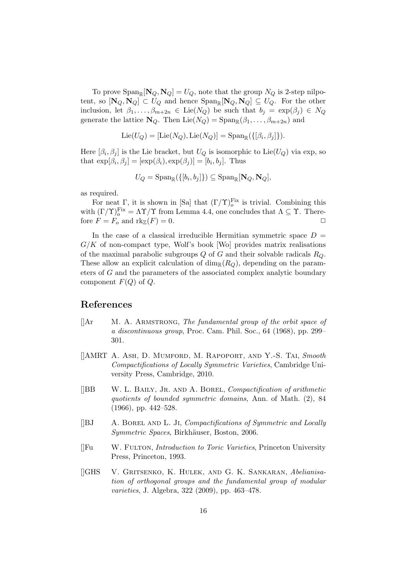To prove  $\text{Span}_{\mathbb{R}}[\mathbf{N}_Q, \mathbf{N}_Q] = U_Q$ , note that the group  $N_Q$  is 2-step nilpotent, so  $[\mathbf{N}_Q, \mathbf{N}_Q] \subset U_Q$  and hence  $\text{Span}_{\mathbb{R}}[\mathbf{N}_Q, \mathbf{N}_Q] \subseteq U_Q$ . For the other inclusion, let  $\beta_1, \ldots, \beta_{m+2n} \in \text{Lie}(N_Q)$  be such that  $b_j = \exp(\beta_j) \in N_Q$ generate the lattice  $\mathbf{N}_Q$ . Then  $\text{Lie}(N_Q) = \text{Span}_{\mathbb{R}}(\beta_1, \dots, \beta_{m+2n})$  and

$$
Lie(U_Q) = [Lie(N_Q), Lie(N_Q)] = Span_{\mathbb{R}}(\{[\beta_i, \beta_j]\}).
$$

Here  $[\beta_i, \beta_j]$  is the Lie bracket, but  $U_Q$  is isomorphic to Lie $(U_Q)$  via exp, so that  $\exp[\beta_i, \beta_j] = [\exp(\beta_i), \exp(\beta_j)] = [b_i, b_j]$ . Thus

$$
U_Q = \mathrm{Span}_{\mathbb{R}}(\{[b_i, b_j]\}) \subseteq \mathrm{Span}_{\mathbb{R}}[\mathbf{N}_Q, \mathbf{N}_Q],
$$

as required.

For neat  $\Gamma$ , it is shown in [Sa] that  $(\Gamma/\Upsilon)_{o}^{\text{Fix}}$  is trivial. Combining this with  $(\Gamma/\Upsilon)_{o}^{\text{Fix}} = \Lambda \Upsilon/\Upsilon$  from Lemma 4.4, one concludes that  $\Lambda \subseteq \Upsilon$ . Therefore  $F = F_o$  and  $\text{rk}_{\mathbb{Z}}(F) = 0$ .

In the case of a classical irreducible Hermitian symmetric space  $D =$  $G/K$  of non-compact type, Wolf's book [Wo] provides matrix realisations of the maximal parabolic subgroups Q of G and their solvable radicals  $R_Q$ . These allow an explicit calculation of  $\dim_{\mathbb{R}}(R_Q)$ , depending on the parameters of G and the parameters of the associated complex analytic boundary component  $F(Q)$  of  $Q$ .

# References

- $\parallel$ Ar M. A. ARMSTRONG, The fundamental group of the orbit space of a discontinuous group, Proc. Cam. Phil. Soc., 64 (1968), pp. 299– 301.
- []AMRT A. Ash, D. Mumford, M. Rapoport, and Y.-S. Tai, Smooth Compactifications of Locally Symmetric Varieties, Cambridge University Press, Cambridge, 2010.
- $[|BB \quad W. \ L. \ B$ AILY, JR. AND A. BOREL, *Compactification of arithmetic* quotients of bounded symmetric domains, Ann. of Math. (2), 84 (1966), pp. 442–528.
- $[|BJ \rangle$  A. BOREL AND L. JI, *Compactifications of Symmetric and Locally* Symmetric Spaces, Birkhäuser, Boston, 2006.
- []Fu W. Fulton, Introduction to Toric Varieties, Princeton University Press, Princeton, 1993.
- []GHS V. Gritsenko, K. Hulek, and G. K. Sankaran, Abelianisation of orthogonal groups and the fundamental group of modular varieties, J. Algebra, 322 (2009), pp. 463–478.